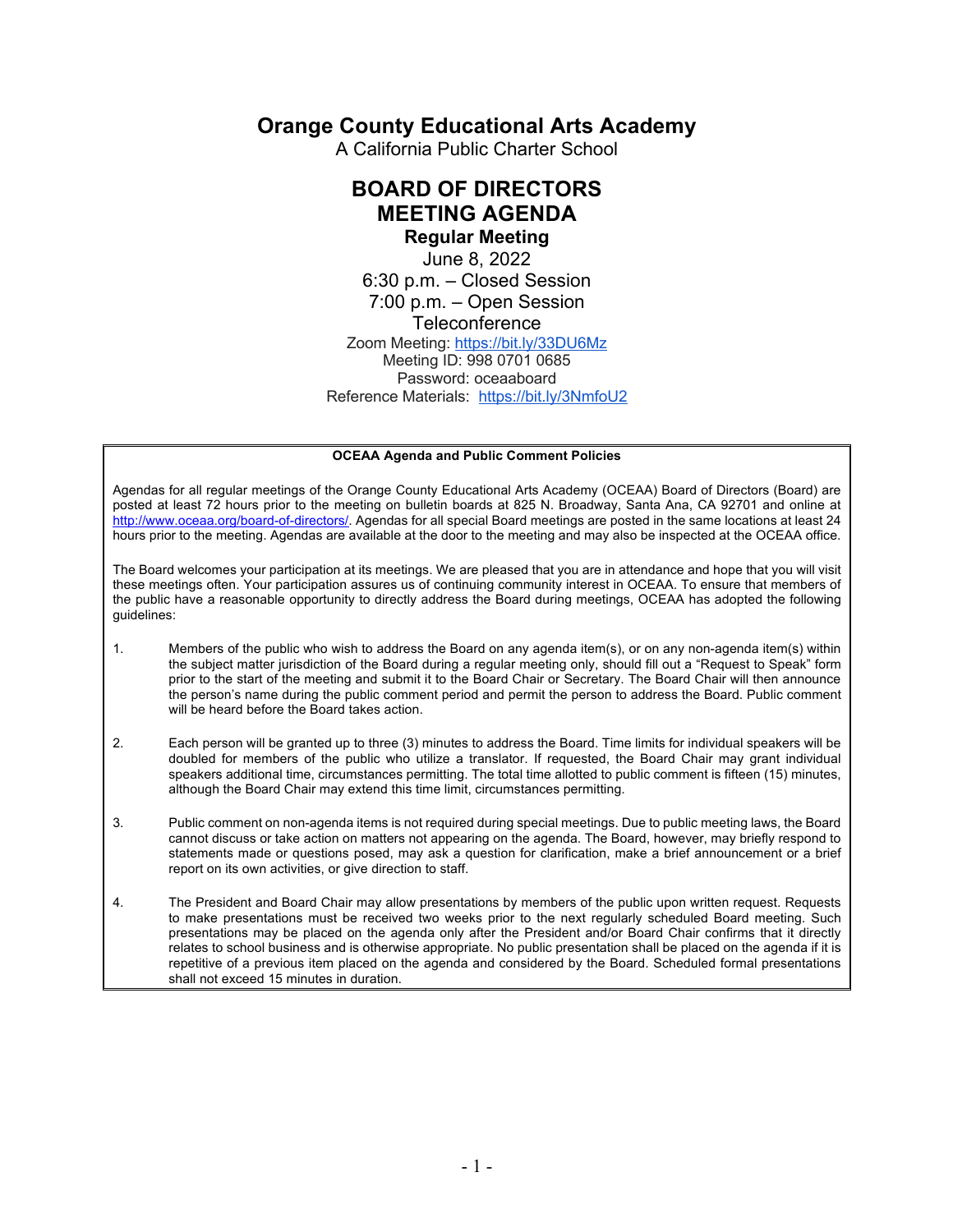## **Orange County Educational Arts Academy**

A California Public Charter School

### **BOARD OF DIRECTORS MEETING AGENDA Regular Meeting**

June 8, 2022 6:30 p.m. – Closed Session 7:00 p.m. – Open Session Teleconference Zoom Meeting: https://bit.ly/33DU6Mz Meeting ID: 998 0701 0685 Password: oceaaboard Reference Materials: https://bit.ly/3NmfoU2

#### **OCEAA Agenda and Public Comment Policies**

Agendas for all regular meetings of the Orange County Educational Arts Academy (OCEAA) Board of Directors (Board) are posted at least 72 hours prior to the meeting on bulletin boards at 825 N. Broadway, Santa Ana, CA 92701 and online at http://www.oceaa.org/board-of-directors/. Agendas for all special Board meetings are posted in the same locations at least 24 hours prior to the meeting. Agendas are available at the door to the meeting and may also be inspected at the OCEAA office.

The Board welcomes your participation at its meetings. We are pleased that you are in attendance and hope that you will visit these meetings often. Your participation assures us of continuing community interest in OCEAA. To ensure that members of the public have a reasonable opportunity to directly address the Board during meetings, OCEAA has adopted the following guidelines:

- 1. Members of the public who wish to address the Board on any agenda item(s), or on any non-agenda item(s) within the subject matter jurisdiction of the Board during a regular meeting only, should fill out a "Request to Speak" form prior to the start of the meeting and submit it to the Board Chair or Secretary. The Board Chair will then announce the person's name during the public comment period and permit the person to address the Board. Public comment will be heard before the Board takes action.
- 2. Each person will be granted up to three (3) minutes to address the Board. Time limits for individual speakers will be doubled for members of the public who utilize a translator. If requested, the Board Chair may grant individual speakers additional time, circumstances permitting. The total time allotted to public comment is fifteen (15) minutes, although the Board Chair may extend this time limit, circumstances permitting.
- 3. Public comment on non-agenda items is not required during special meetings. Due to public meeting laws, the Board cannot discuss or take action on matters not appearing on the agenda. The Board, however, may briefly respond to statements made or questions posed, may ask a question for clarification, make a brief announcement or a brief report on its own activities, or give direction to staff.
- 4. The President and Board Chair may allow presentations by members of the public upon written request. Requests to make presentations must be received two weeks prior to the next regularly scheduled Board meeting. Such presentations may be placed on the agenda only after the President and/or Board Chair confirms that it directly relates to school business and is otherwise appropriate. No public presentation shall be placed on the agenda if it is repetitive of a previous item placed on the agenda and considered by the Board. Scheduled formal presentations shall not exceed 15 minutes in duration.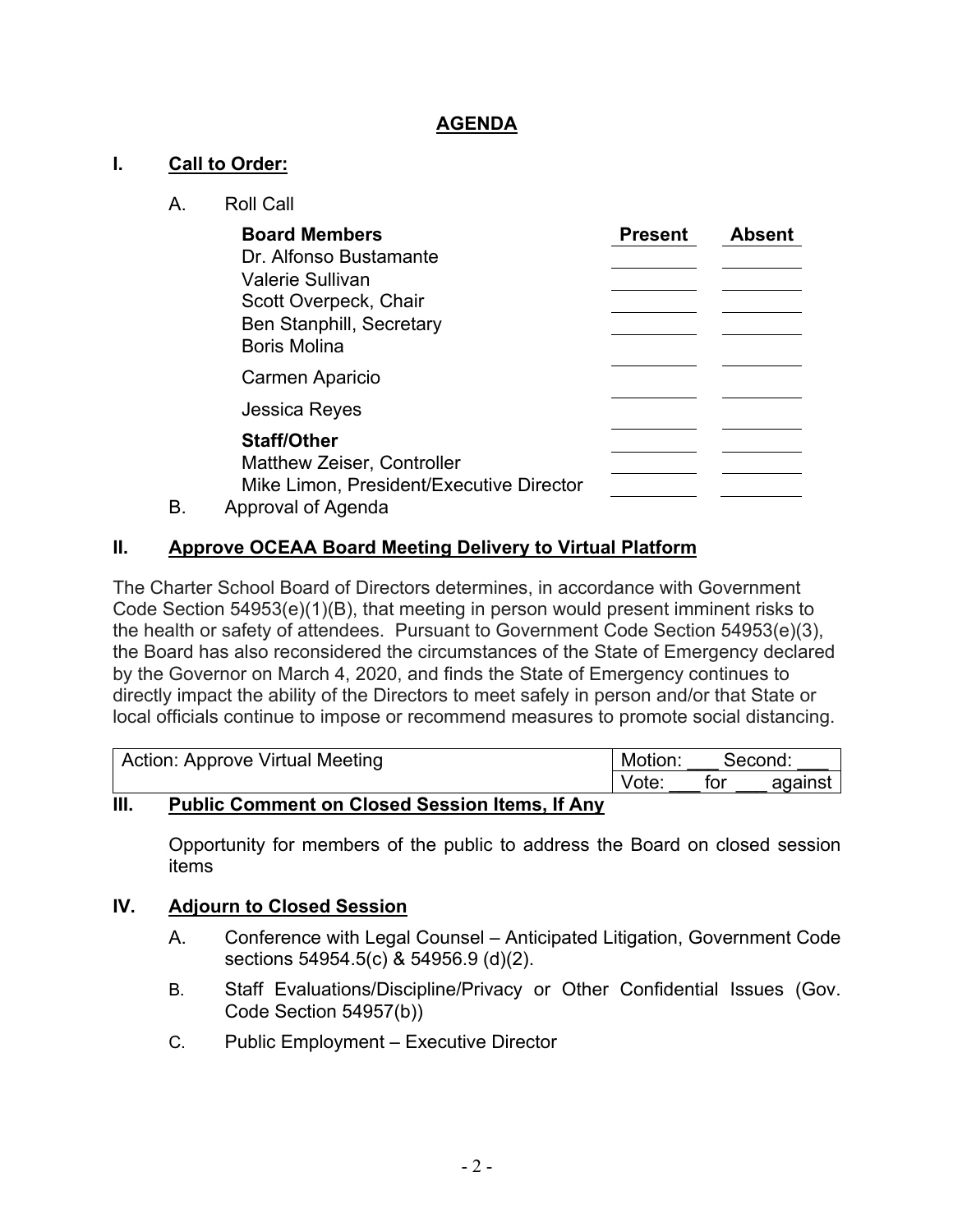### **AGENDA**

### **I. Call to Order:**

A. Roll Call

|    | <b>Board Members</b>                                                                                                          | <b>Present</b> | <b>Absent</b> |
|----|-------------------------------------------------------------------------------------------------------------------------------|----------------|---------------|
|    | Dr. Alfonso Bustamante<br>Valerie Sullivan<br>Scott Overpeck, Chair<br><b>Ben Stanphill, Secretary</b><br><b>Boris Molina</b> |                |               |
|    | Carmen Aparicio                                                                                                               |                |               |
|    | <b>Jessica Reyes</b>                                                                                                          |                |               |
| В. | <b>Staff/Other</b><br><b>Matthew Zeiser, Controller</b><br>Mike Limon, President/Executive Director<br>Approval of Agenda     |                |               |

### **II. Approve OCEAA Board Meeting Delivery to Virtual Platform**

The Charter School Board of Directors determines, in accordance with Government Code Section 54953(e)(1)(B), that meeting in person would present imminent risks to the health or safety of attendees. Pursuant to Government Code Section 54953(e)(3), the Board has also reconsidered the circumstances of the State of Emergency declared by the Governor on March 4, 2020, and finds the State of Emergency continues to directly impact the ability of the Directors to meet safely in person and/or that State or local officials continue to impose or recommend measures to promote social distancing.

| Action: Approve Virtual Meeting |  |       |  |  | Motion: |  | Second: |     |         |
|---------------------------------|--|-------|--|--|---------|--|---------|-----|---------|
|                                 |  |       |  |  |         |  | Vote:   | tor | against |
| .                               |  | - - - |  |  |         |  |         |     |         |

### **III. Public Comment on Closed Session Items, If Any**

Opportunity for members of the public to address the Board on closed session items

### **IV. Adjourn to Closed Session**

- A. Conference with Legal Counsel Anticipated Litigation, Government Code sections 54954.5(c) & 54956.9 (d)(2).
- B. Staff Evaluations/Discipline/Privacy or Other Confidential Issues (Gov. Code Section 54957(b))
- C. Public Employment Executive Director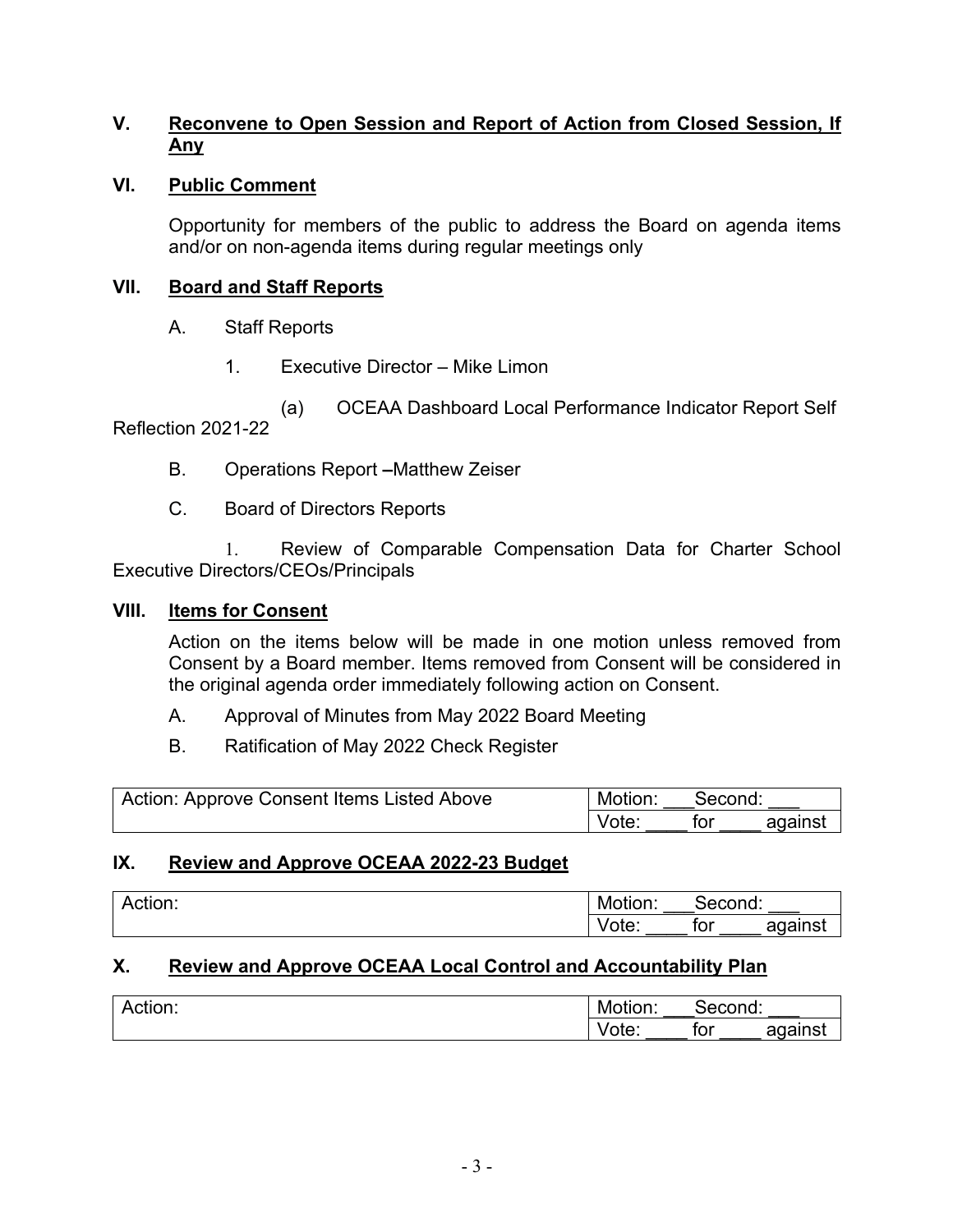### **V. Reconvene to Open Session and Report of Action from Closed Session, If Any**

### **VI. Public Comment**

Opportunity for members of the public to address the Board on agenda items and/or on non-agenda items during regular meetings only

### **VII. Board and Staff Reports**

- A. Staff Reports
	- 1. Executive Director Mike Limon

(a) OCEAA Dashboard Local Performance Indicator Report Self Reflection 2021-22

- B. Operations Report **–**Matthew Zeiser
- C. Board of Directors Reports

1. Review of Comparable Compensation Data for Charter School Executive Directors/CEOs/Principals

#### **VIII. Items for Consent**

Action on the items below will be made in one motion unless removed from Consent by a Board member. Items removed from Consent will be considered in the original agenda order immediately following action on Consent.

- A. Approval of Minutes from May 2022 Board Meeting
- B. Ratification of May 2022 Check Register

| Action: Approve Consent Items Listed Above | Motion: | Second: |         |
|--------------------------------------------|---------|---------|---------|
|                                            | Vote:   | for     | against |

### **IX. Review and Approve OCEAA 2022-23 Budget**

| . .<br>$\sim$ $\sim$ $\sim$ $\sim$<br>ACUOLI. | Motion:         | cond:<br>-     |                |
|-----------------------------------------------|-----------------|----------------|----------------|
|                                               | $+$<br>v<br>uu. | $+ - -$<br>IOI | against<br>. . |

### **X. Review and Approve OCEAA Local Control and Accountability Plan**

| Action: | Motion:                     |     | :cond:               |
|---------|-----------------------------|-----|----------------------|
|         | <br>``<br>υι <del>σ</del> . | tor | oaoinet<br>71<br>- - |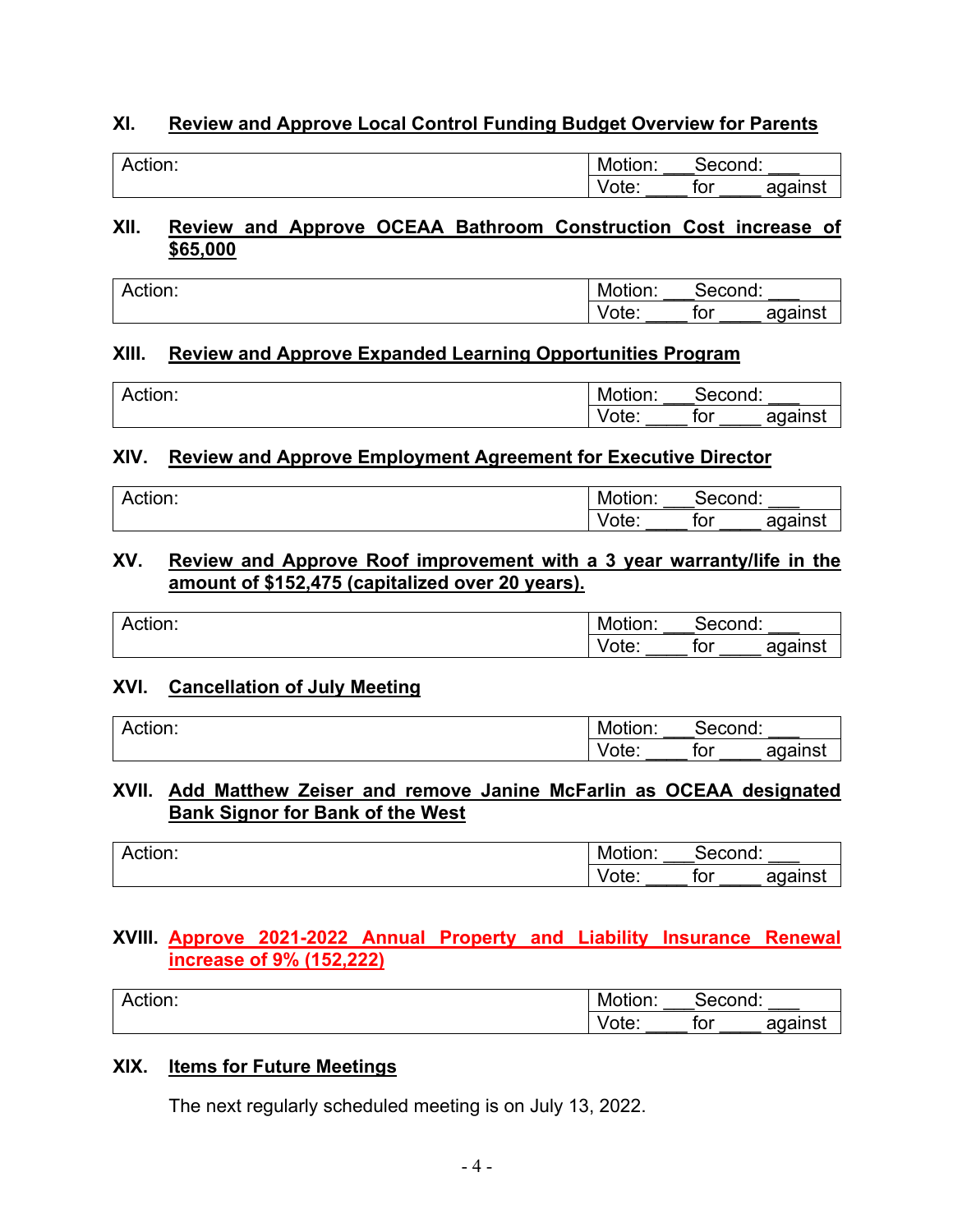### **XI. Review and Approve Local Control Funding Budget Overview for Parents**

| Action: | Motion:                             | ∙ond:             |              |
|---------|-------------------------------------|-------------------|--------------|
|         | $-1$<br>v<br>▃<br>υι <del>σ</del> . | <b>+^*</b><br>IUI | .aoinet<br>- |

#### **XII. Review and Approve OCEAA Bathroom Construction Cost increase of \$65,000**

| . .<br>Action: | Motion: | יוטכ. | ≀cond.              |
|----------------|---------|-------|---------------------|
|                | Vote:   | tor   | agains <sup>+</sup> |

### **XIII. Review and Approve Expanded Learning Opportunities Program**

| $\cdot$<br>Action: | Motion:                      | $\sim$<br>.       |                                           |
|--------------------|------------------------------|-------------------|-------------------------------------------|
|                    | $- - -$<br>υι <del>ο</del> . | $+ - -$<br>$\sim$ | $\sim$ $\sim$ $\sim$ $\sim$ $\sim$ $\sim$ |

### **XIV. Review and Approve Employment Agreement for Executive Director**

| Action: | Motion: | second:    |              |
|---------|---------|------------|--------------|
|         | Vote.   | . .<br>וטו | against<br>ີ |

#### **XV. Review and Approve Roof improvement with a 3 year warranty/life in the amount of \$152,475 (capitalized over 20 years).**

| . .<br>Action: | $- - -$<br>Motion:  | $\sim$<br>vænu.<br>-- |                                    |
|----------------|---------------------|-----------------------|------------------------------------|
|                | $\mathbf{v}$<br>uu. | .<br>.OF              | $\sim$ $\sim$ $\sim$ $\sim$ $\sim$ |

### **XVI. Cancellation of July Meeting**

| $\cdot$ .<br>$\sim$<br>י יווטוי יי<br>. . | $-1 - 1$<br>IVI)<br>ווסוזרי". ' | $\sim$ $\sim$ $\sim$ $\sim$ $\sim$<br>. <b>. .</b> .<br>IU.<br>_ |    |
|-------------------------------------------|---------------------------------|------------------------------------------------------------------|----|
|                                           | . .                             | . .                                                              | -- |
|                                           | vw.                             | ישו                                                              | .  |

### **XVII. Add Matthew Zeiser and remove Janine McFarlin as OCEAA designated Bank Signor for Bank of the West**

| <br>.<br>ACUOL. | .<br>IVIOTION: | cond:<br>، ب | riu.    |
|-----------------|----------------|--------------|---------|
|                 | ---<br>ulc.    | トヘド<br>וטו   | oaoinet |

### **XVIII. Approve 2021-2022 Annual Property and Liability Insurance Renewal increase of 9% (152,222)**

| . .<br>.<br>ACTION. | $\cdot$ .<br>Motion:    | 'econd: |              |
|---------------------|-------------------------|---------|--------------|
|                     | $- - - -$<br>'ote:<br>v | tor     | against<br>a |

### **XIX. Items for Future Meetings**

The next regularly scheduled meeting is on July 13, 2022.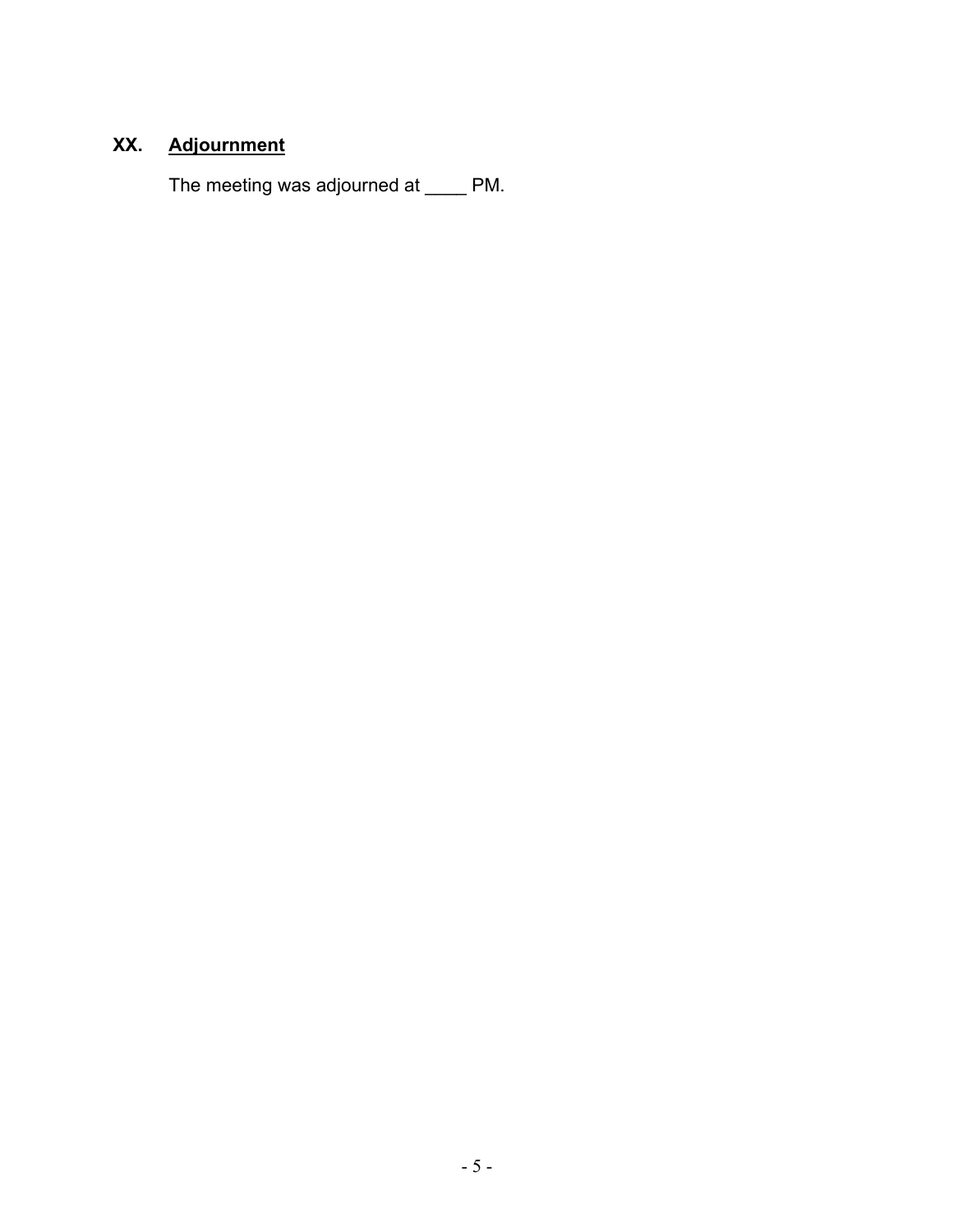# **XX. Adjournment**

The meeting was adjourned at \_\_\_\_ PM.